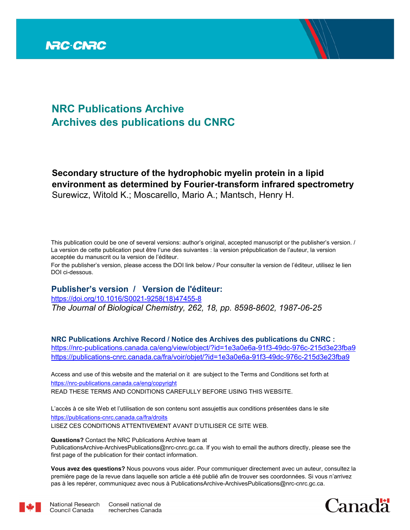

# **NRC Publications Archive Archives des publications du CNRC**

## **Secondary structure of the hydrophobic myelin protein in a lipid environment as determined by Fourier-transform infrared spectrometry** Surewicz, Witold K.; Moscarello, Mario A.; Mantsch, Henry H.

This publication could be one of several versions: author's original, accepted manuscript or the publisher's version. / La version de cette publication peut être l'une des suivantes : la version prépublication de l'auteur, la version acceptée du manuscrit ou la version de l'éditeur.

For the publisher's version, please access the DOI link below./ Pour consulter la version de l'éditeur, utilisez le lien DOI ci-dessous.

## **Publisher's version / Version de l'éditeur:**

*The Journal of Biological Chemistry, 262, 18, pp. 8598-8602, 1987-06-25* https://doi.org/10.1016/S0021-9258(18)47455-8

**NRC Publications Archive Record / Notice des Archives des publications du CNRC :** https://nrc-publications.canada.ca/eng/view/object/?id=1e3a0e6a-91f3-49dc-976c-215d3e23fba9 https://publications-cnrc.canada.ca/fra/voir/objet/?id=1e3a0e6a-91f3-49dc-976c-215d3e23fba9

READ THESE TERMS AND CONDITIONS CAREFULLY BEFORE USING THIS WEBSITE. https://nrc-publications.canada.ca/eng/copyright Access and use of this website and the material on it are subject to the Terms and Conditions set forth at

https://publications-cnrc.canada.ca/fra/droits L'accès à ce site Web et l'utilisation de son contenu sont assujettis aux conditions présentées dans le site LISEZ CES CONDITIONS ATTENTIVEMENT AVANT D'UTILISER CE SITE WEB.

**Questions?** Contact the NRC Publications Archive team at

PublicationsArchive-ArchivesPublications@nrc-cnrc.gc.ca. If you wish to email the authors directly, please see the first page of the publication for their contact information.

**Vous avez des questions?** Nous pouvons vous aider. Pour communiquer directement avec un auteur, consultez la première page de la revue dans laquelle son article a été publié afin de trouver ses coordonnées. Si vous n'arrivez pas à les repérer, communiquez avec nous à PublicationsArchive-ArchivesPublications@nrc-cnrc.gc.ca.



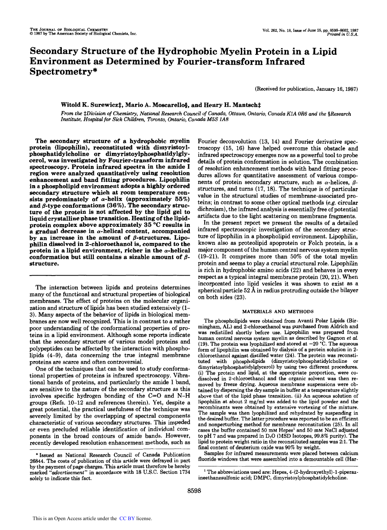## **Secondary Structure of the Hydrophobic Myelin Protein in a Lipid Environment as Determined by Fourier-transform Infrared Spectrometry\***

(Received for publication, January **16,** 1987)

## Witold K. Surewicz<sup>†</sup>, Mario A. Moscarello§, and Henry H. Mantsch<sup>†</sup>

*From the* SDiuision *of Chemistry,* National Research *Council of* Canada, Ottawa, Ontario, Canada *KIA* OR6 and *the* \$Research Institute, *Hospital for Sick* Children, Toronto, Ontario, Canada *M5S 1A8* 

**The secondary structure of a hydrophobic myelin protein (lipophilin), reconstituted with dimyristoylphosphatidylcholine or dimyristoylphosphatidylglycerol, was investigated by Fourier-transform infrared spectroscopy. Protein infrared spectra in the amide I region were analyzed quantitatively using resolution enhancement and band fitting procedures. Lipophilin in a phospholipid environment adopts a highly ordered secondary structure which at room temperature con**sists predominately of  $\alpha$ -helix (approximately 55%) and  $\beta$ -type conformations (36%). The secondary struc**ture of the protein is not affected by the lipid gel to liquid crystalline phase transition. Heating of the lipidprotein complex above approximately 35 "C results in a gradual decrease in a-helical content, accompanied by an increase in the amount of @-structures. Lipophilin dissolved in 2-chloroethanol is, compared to the protein in a lipid environment, richer in the a-helical**  conformation but still contains a sizable amount of  $\beta$ **structure.** 

The interaction between lipids and proteins determines many of the functional and structural properties of biological membranes. The effect of proteins on the molecular organization and structure of lipids has been studied extensively **(1- 3).** Many aspects of the behavior of lipids in biological membranes are now well recognized. This is in contrast to a rather poor understanding of the conformational properties of proteins in a lipid environment. Although some reports indicate that the secondary structure of various model proteins and polypeptides can be affected by the interaction with phospholipids **(4-9),** data concerning the true integral membrane proteins are scarce and often controversial.

One of the techniques that can be used to study conformational properties of proteins is infrared spectroscopy. Vibrational bands of proteins, and particularly the amide I band, are sensitive to the nature of the secondary structure as this involves specific hydrogen bonding of the *C=O* and **N-H**  groups (Refs. **10-12** and references therein). Yet, despite **a**  great potential, the practical usefulness of the technique was severely limited by the overlapping of spectral components characteristic of various secondary structures. This impeded or even precluded reliable identification of individual components in the broad contours of amide bands. However, recently developed resolution enhancement methods, such as Fourier deconvolution **(13, 14)** and Fourier derivative spectroscopy **(15, 16)** have helped overcome this obstacle and infrared spectroscopy emerges now as a powerful tool to probe details of protein conformation in solution. The combination of resolution enhancement methods with band fitting procedures allows for quantitative assessment of various components of protein secondary structure, such as  $\alpha$ -helices,  $\beta$ structures, and turns **(17, 18).** The technique is of particular value in the structural studies of membrane-associated proteins; in contrast to some other optical methods **(e.g.** circular dichroism), the infrared analysis is essentially free of potential artifacts due to the light scattering on membrane fragments.

In the present report we present the results of a detailed infrared spectroscopic investigation of the secondary structure of lipophilin in a phospholipid environment. Lipophilin, known also as proteolipid apoprotein or Folch protein, is a major component of the human central nervous system myelin **(19-21).** It comprises more than 50% of the total myelin protein and seems to play a crucial structural role. Lipophilin is rich in hydrophobic amino acids **(22)** and behaves in every respect as a typical integral membrane protein **(20,21).** When incorporated into lipid vesicles it was shown to exist as a spherical particle **52 A** in radius protruding outside the bilayer on both sides **(23).** 

### **MATERIALS AND METHODS**

The phospholipids were obtained from Avanti Polar Lipids (Birmingham, AL) and 2-chloroethanol was purchased from Aldrich and was redistilled shortly before use. Lipophilin was prepared from human central nervous system myelin as described by Gagnon et al. (19). The protein was lyophilized and stored at  $-20$  °C. The aqueous form of lipophilin was obtained by dialysis of a protein solution in 2 chloroethanol against distilled water (24). The protein was reconstituted with phospholipids **(dimyristoylphosphatidylcholine** or **dimyristoylphosphatidylglycerol)** by using two different procedures. (i) The protein and lipid, at the appropriate proportion, were codissolved in 2-chloroethanol and the organic solvent was then removed by freeze drying. Aqueous membrane suspensions were obtained by dispersing the *dry* sample in buffer at a temperature slightly above that of the lipid phase transition. (ii) An aqueous solution of lipophilin at about 2 mg/ml was added to the lipid powder and the recombinants were obtained by extensive vortexing of the mixture. The sample was then lyophilized and rehydrated by suspending in the desired buffer. The latter procedure was reported to be an efficient and nonperturbing method for membrane reconstitution **(25).** In all cases the buffer contained 50 mM Hepes' and **50** mM NaCl adjusted to pH 7 and was prepared in  $D_2O$  (MSD Isotopes, 99.8% purity). The lipid to protein weight ratio in the reconstituted samples was 2:l. The final content of deuterium oxide was 90% by weight.

Samples for infrared measurements were placed between calcium fluoride windows that were assembled into a demountable cell (Har-

<sup>\*</sup>Issued as National Research Council of Canada Publication 26844. The costs of publication of this article were defrayed in part by the payment of page charges. This article must therefore be hereby marked "advertisement" in accordance with 18 U.S.C. Section 1734 solely to indicate this fact.

The abbreviations used are: Hepes, **4-(2-hydroxyethyl)-l-piperaz**ineethanesulfonic acid; DMPC, **dimyristoylphosphatidylcholine.**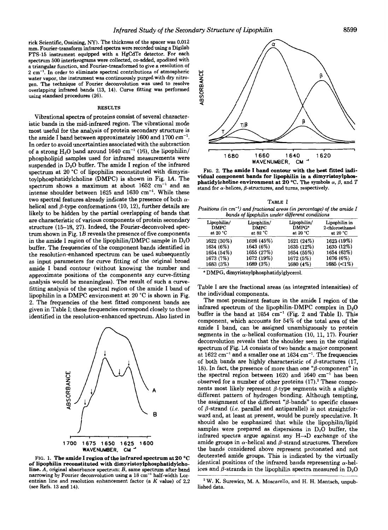rick Scientific, Ossining, **NY).** The thickness of the spacer was **0.012**  mm. Fourier-transform infrared spectra were recorded using a Digilab **FTS-15** instrument equipped with a HgCdTe detector. For each spectrum **500** interferograms were collected, co-added, apodized with a triangular function, and Fourier-transformed togive a resolution **of 2** cm". In order to eliminate spectral contributions of atmospheric water vapor, the instrument was continuously purged with *dry* nitrogen. The technique of Fourier deconvolution was used to resolve overlapping infrared bands **(13, 14).** Curve fitting was performed using standard procedures **(26).** 

#### **RESULTS**

Vibrational spectra of proteins consist of several characteristic bands in the mid-infrared region. The vibrational mode most useful for the analysis of protein secondary structure is the amide I band between approximately 1600 and 1700 cm". In order to avoid uncertainties associated with the subtraction of a strong  $H_2O$  band around 1640 cm<sup>-1</sup> (16), the lipophilin/ phospholipid samples used for infrared measurements were suspended in D,O buffer. The amide I region of the infrared spectrum at 20 °C of lipophilin reconstituted with dimyristoylphosphatidylcholine (DMPC) is shown in Fig. **lA.** The spectrum shows a maximum at about  $1652 \text{ cm}^{-1}$  and an intense shoulder between 1625 and 1630 cm<sup>-1</sup>. While these two spectral features already indicate the presence of both  $\alpha$ helical and  $\beta$ -type conformations (10, 12), further details are likely to be hidden by the partial overlapping of bands that are characteristic of various components of protein secondary structure (15-18, 27). Indeed, the Fourier-deconvolved spectrum shown in Fig. 1B reveals the presence of five components in the amide I region of the lipophilin/DMPC sample in  $D_2O$ buffer. The frequencies of the component bands identified in the resolution-enhanced spectrum can be used subsequently as input parameters for curve fitting of the original broad amide I band contour (without knowing the number and approximate positions of the components any curve-fitting analysis would be meaningless). The result of such a curvefitting analysis of the spectral region of the amide I band of lipophilin in a DMPC environment at 20 "C is shown in Fig. 2. The frequencies of the best fitted component bands are given in Table I; these frequencies correspond closely to those identified in the resolution-enhanced spectrum. Also listed in



FIG. **1. The amide I region of the infrared spectrum at 20 "C of lipophilin reconstituted with dimyristoylphosphatidylcholine.** *A,* original absorbance spectrum; *B,* same spectrum after band narrowing by Fourier deconvolution using a **18** cm" half-width Lorentzian line and resolution enhancement factor (a *K* value) of **2.2**  (see Refs. **13** and **14).** 



FIG. **2. The amide I band contour with the best fitted individual component bands for lipophilin in a dimyristoylphosphatidylcholine environment at 20 °C.** The symbols  $\alpha$ ,  $\beta$ , and *T* stand for  $\alpha$ -helices,  $\beta$ -structures, and turns, respectively.

*TABLE* **1**  *Positions (in cm<sup>-1</sup>) and fractional areas (in percentage) of the amide I*  $\frac{1}{2}$  $bands$  *of lipophilin under differ* 

| Lipophilin/<br><b>DMPC</b><br>at 20 $°C$ | Lipophilin/<br><b>DMPC</b><br>at $82 °C$ | Lipophilin/<br>DMPG <sup>®</sup><br>at $20 °C$ | Lipophilin in<br>2-chloroethanol<br>at $20 °C$ |
|------------------------------------------|------------------------------------------|------------------------------------------------|------------------------------------------------|
| 1622 (30%)                               | 1626 (45%)                               | 1621 (24%)                                     | 1623 (19%)                                     |
| 1634 (6%)                                | 1643 (6%)                                | 1635 (12%)                                     | 1635 (12%)                                     |
| 1654 (54%)                               | 1655 (27%)                               | 1654 (55%)                                     | 1654 (63%)                                     |
| 1673 (7%)                                | 1672 (19%)                               | 1672 (5%)                                      | 1676 (6%)                                      |
| 1683 (3%)                                | 1689 (3%)                                | 1680 (4%)                                      | 1685 (<1%)                                     |

DMPG, **dimyristoylphosphatidylglycerol.** 

Table I are the fractional areas (as integrated intensities) of the individual components.

The most prominent feature in the amide I region of the infrared spectrum of the lipophilin-DMPC complex in  $D_2O$ buffer is the band at  $1654 \text{ cm}^{-1}$  (Fig. 2 and Table I). This component, which accounts for 54% of the total area of the amide I band, can be assigned unambiguously to protein segments in the  $\alpha$ -helical conformation (10, 11, 17). Fourier deconvolution reveals that the shoulder seen in the original spectrum of Fig. **L4** consists of two bands: a major component at  $1622 \text{ cm}^{-1}$  and a smaller one at  $1634 \text{ cm}^{-1}$ . The frequencies of both bands are highly characteristic of  $\beta$ -structures (17, 18). In fact, the presence of more than one " $\beta$ -component" in the spectral region between  $1620$  and  $1640$  cm<sup>-1</sup> has been observed for a number of other proteins (17).<sup>2</sup> These components most likely represent  $\beta$ -type segments with a slightly different pattern of hydrogen bonding. Although tempting, the assignment of the different " $\beta$ -bands" to specific classes of  $\beta$ -strand *(i.e.* parallel and antiparallel) is not straightforward and, at least at present, would be purely speculative. It should also be emphasized that while the lipophilin/lipid samples were prepared as dispersions in  $D_2O$  buffer, the infrared spectra argue against any  $H\rightarrow D$  exchange of the amide groups in  $\alpha$ -helical and  $\beta$ -strand structures. Therefore the bands considered above represent protonated and not deuterated amide groups. This is indicated by the virtually identical positions of the infrared bands representing  $\alpha$ -helices and  $\beta$ -strands in the lipophilin spectra measured in  $D_2O$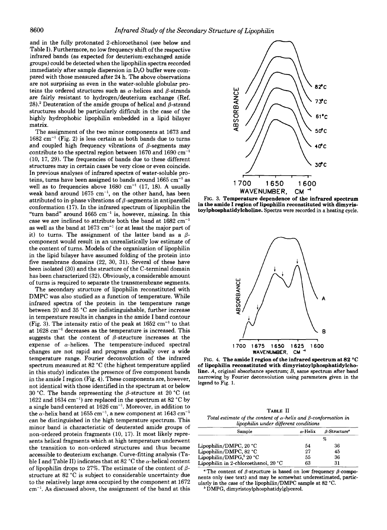and in the fully protonated 2-chloroethanol (see below and Table I). Furthermore, no low frequency shift of the respective infrared bands (as expected for deuterium-exchanged amide groups) could be detected when the lipophilin spectra recorded immediately after sample dispersion in  $D_2O$  buffer were compared with those measured after 24 h. The above observations are not surprising as even in the water-soluble globular proteins the ordered structures such as  $\alpha$ -helices and  $\beta$ -strands are fairly resistant to hydrogen/deuterium exchange (Ref. 28).<sup>2</sup> Deuteration of the amide groups of helical and  $\beta$ -strand structures should be particularly difficult in the case of the highly hydrophobic lipophilin embedded in a lipid bilayer matrix.

The assignment of the two minor components at 1673 and  $1682 \text{ cm}^{-1}$  (Fig. 2) is less certain as both bands due to turns and coupled high frequency vibrations of  $\beta$ -segments may contribute to the spectral region between 1670 and 1690 cm" (10, 17, 29). The frequencies of bands due to these different structures may in certain cases be very close or even coincide. In previous analyses of infrared spectra of water-soluble proteins, turns have been assigned to bands around  $1665 \text{ cm}^{-1}$  as well as to frequencies above  $1680 \text{ cm}^{-1}$  (17, 18). A usually weak band around  $1675 \text{ cm}^{-1}$ , on the other hand, has been attributed to in-phase vibrations of  $\beta$ -segments in antiparallel conformation (17). In the infrared spectrum of lipophilin the "turn band" around  $1665 \text{ cm}^{-1}$  is, however, missing. In this case we are inclined to attribute both the band at  $1682 \text{ cm}^{-1}$ as well as the band at  $1673 \text{ cm}^{-1}$  (or at least the major part of it) to turns. The assignment of the latter band as a  $\beta$ component would result in an unrealistically low estimate of the content of turns. Models of the organization of lipophilin in the lipid bilayer have assumed folding of the protein into five membrane domains (22, 30, 31). Several of these have been isolated (30) and the structure of the C-terminal domain has been characterized (32). Obviously, a considerable amount of turns is required to separate the transmembrane segments.

The secondary structure of lipophilin reconstituted with DMPC was also studied as a function of temperature. While infrared spectra of the protein in the temperature range between 20 and 35 "C are indistinguishable, further increase in temperature results in changes in the amide I band contour (Fig. 3). The intensity ratio of the peak at  $1652 \text{ cm}^{-1}$  to that at  $1628 \text{ cm}^{-1}$  decreases as the temperature is increased. This suggests that the content of  $\beta$ -structure increases at the expense of  $\alpha$ -helices. The temperature-induced spectral changes are not rapid and progress gradually over a wide temperature range. Fourier deconvolution of the infrared spectrum measured at 82 "C (the highest temperature applied in this study) indicates the presence of five component bands in the amide I region (Fig. **4).** These components are, however, not identical with those identified in the spectrum at or below 30 °C. The bands representing the  $\beta$ -structure at 20 °C (at 1622 and 1634 cm") are replaced in the spectrum at 82 "C by a single band centered at 1626 cm<sup>-1</sup>. Moreover, in addition to the  $\alpha$ -helix band at 1655 cm<sup>-1</sup>, a new component at 1643 cm<sup>-1</sup> can be distinguished in the high temperature spectrum. This minor band is characteristic of deuterated amide groups of non-ordered protein fragments (10, 17). It most likely represents helical fragments which at high temperature underwent the transition to non-ordered structures and thus became accessible to deuterium exchange. Curve-fitting analysis (Table I and Table II) indicates that at 82  $^{\circ}$ C the  $\alpha$ -helical content of lipophilin drops to 27%. The estimate of the content of  $\beta$ structure at 82 "C is subject to considerable uncertainty due to the relatively large area occupied by the component at 1672 cm". **As** discussed above, the assignment of the band at this



**FIG. 3. Temperature dependence of the infrared spectrum in the amide I region of lipophilin reconstituted with dimyristoylphosphatidylcholine.** Spectra were recorded in a heating cycle.



FIG. 4. **The amide I region of the infrared spectrum at 82 "C of lipophilin reconstituted with dimyristoylphosphatidylcholine.** *A,* original absorbance spectrum; *B,* same spectrum after band narrowing by Fourier deconvolution using parameters given in the legend to Fig. **1.** 

**TABLE I1**  Total estimate of the content of  $\alpha$ -helix and  $\beta$ -conformation in lipophilin *under* different conditions

| Sample                               | $\alpha$ -Helix | $\beta$ -Structure <sup>o</sup> |
|--------------------------------------|-----------------|---------------------------------|
|                                      | %               |                                 |
| Lipophilin/DMPC, 20 °C               | 54              | 36                              |
| Lipophilin/DMPC, 82 °C               | 27              | 45                              |
| Lipophilin/DMPG, <sup>8</sup> 20 °C  | 55              | 36                              |
| Lipophilin in 2-chloroethanol, 20 °C | 63              | 31                              |

<sup>a</sup> The content of  $\beta$ -structure is based on low frequency  $\beta$ -components only (see text) and may be somewhat underestimated, particularly in the case of the lipophilin/DMPC sample at **82** "C.

DMPG, **dimyristoylphosphatidylglycerol.**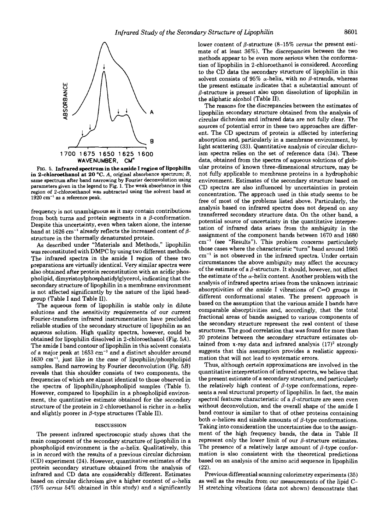

FIG. 5. **Infrared spectrum in the amide I region of lipophilin in 2-chloroethanol at 20 °C.** A, original absorbance spectrum; B, same spectrum after band narrowing by Fourier deconvolution using parameters given in the legend to Fig. 1. The weak absorbance in this region *of* 2-chloroethanol was subtracted using the solvent band at  $1920 \text{ cm}^{-1}$  as a reference peak.

frequency is not unambiguous as it may contain contributions from both turns and protein segments in a  $\beta$ -conformation. Despite this uncertainty, even when taken alone, the intense band at 1626 cm<sup>-1</sup> already reflects the increased content of  $\beta$ structure in the thermally denaturated protein.

As described under "Materials and Methods," lipophilin was reconstituted with DMPC by using two different methods. The infrared spectra in the amide **I** region of these two preparations are virtually identical. Very similar spectra were also obtained after protein reconstitution with an acidic phospholipid, **dimyristoylphosphatidylglycerol,** indicating that the secondary structure of lipophilin in a membrane environment is not affected significantly by the nature of the lipid headgroup (Table **I** and Table 11).

The aqueous form of lipophilin is stable only in dilute solutions and the sensitivity requirements of our current Fourier-transform infrared instrumentation have precluded reliable studies of the secondary structure of lipophilin as an aqueous solution. High quality spectra, however, could be obtained for lipophilin dissolved in 2-chloroethanol (Fig. 5A). The amide I band contour of lipophilin in this solvent consists of a major peak at 1653 cm<sup>-1</sup> and a distinct shoulder around  $1630 \text{ cm}^{-1}$ , just like in the case of lipophilin/phospholipid samples. Band narrowing by Fourier deconvolution (Fig. 5B) reveals that this shoulder consists of two components, the frequencies of which are almost identical to those observed in the spectra of lipophilin/phospholipid samples (Table **I).**  However, compared to lipophilin in a phospholipid environment, the quantitative estimate obtained for the secondary structure of the protein in 2-chloroethanol is richer in  $\alpha$ -helix and slightly poorer in  $\beta$ -type structures (Table II).

#### **DISCUSSION**

The present infrared spectroscopic study shows that the main component of the secondary structure of lipophilin in a phospholipid environment is the  $\alpha$ -helix. Qualitatively, this is in accord with the results of a previous circular dichroism (CD) experiment (24). However, quantitative estimates of the protein secondary structure obtained from the analysis of infrared and CD data are considerably different. Estimates based on circular dichroism give a higher content of  $\alpha$ -helix (75% *uersus* **54%** obtained in this study) and a significantly lower content of β-structure (8-15% *versus* the present estimate of at least 36%). The discrepancies between the two methods appear to be even more serious when the conformation of lipophilin in 2-chloroethanol is considered. According to the CD data the secondary structure of lipophilin in this solvent consists of 95%  $\alpha$ -helix, with no  $\beta$ -strands, whereas the present estimate indicates that a substantial amount of  $\beta$ -structure is present also upon dissolution of lipophilin in the aliphatic alcohol (Table 11).

The reasons for the discrepancies between the estimates of lipophilin secondary structure obtained from the analysis of circular dichroism and infrared data are not fully clear. The sources of potential error in these two approaches are different. The CD spectrum of protein is affected by interfering absorption and, particularly in a membrane environment, by light scattering (33). Quantitative analysis of circular dichroism spectra relies on the set of reference data (34). These data, obtained from the spectra of aqueous solutions of globular proteins of known three-dimensional structure, may be not fully applicable to membrane proteins in a hydrophobic environment. Estimates of the secondary structure based on CD spectra are also influenced by uncertainties in protein concentration. The approach used in this study seems to be free of most of the problems listed above. Particularly, the analysis based on infrared spectra does not depend on any transferred secondary structure data. On the other band, a potential source of uncertainty in the quantitative interpretation of infrared data arises from the ambiguity in the assignment of the component bands between 1670 and 1680  $cm^{-1}$  (see "Results"). This problem concerns particularly those cases where the characteristic "turn" band around 1665  $cm<sup>-1</sup>$  is not observed in the infrared spectra. Under certain circumstances the above ambiguity may affect the accuracy of the estimate of a  $\beta$ -structure. It should, however, not affect the estimate of the  $\alpha$ -helix content. Another problem with the analysis of infrared spectra arises from the unknown intrinsic absorptivities of the amide I vibrations of  $C=O$  groups in different conformational states. The present approach is based on the assumption that the various amide I bands have comparable absorptivities and, accordingly, that the total fractional areas of bands assigned to various components of the secondary structure represent the real content of these structures. The good correlation that was found for more than 20 proteins between the secondary structure estimates obtained from x-ray data and infrared analysis  $(17)^2$  strongly suggests that this assumption provides a realistic approximation that will not lead to systematic errors.

Thus, although certain approximations are involved in the quantitative interpretation of infrared spectra, we believe that the present estimate of a secondary structure, and particularly the relatively high content of  $\beta$ -type conformations, represents a real structural property of lipophilin. In fact, the main spectral features characteristic of a  $\beta$ -structure are seen even without deconvolution, and the overall shape of the amide **I**  band contour is similar to that of other proteins containing both  $\alpha$ -helices and sizable amounts of  $\beta$ -type conformations. Taking into consideration the uncertainties due to the assignment of the high frequency bands, the data in Table **I1**  represent only the lower limit of our  $\beta$ -structure estimates. The presence of a relatively large amount of  $\beta$ -type conformation is also consistent with the theoretical predictions based on an analysis of the amino acid sequence in lipophilin (22).

Previous differential scanning calorimetry experiments (35) as well as the results from our measurements of the lipid C-H stretching vibrations (data not shown) demonstrate that